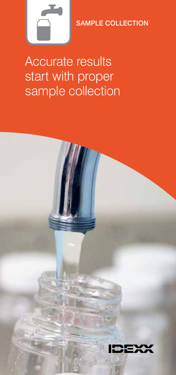

SAMPLE COLLECTION

Accurate results start with proper sample collection

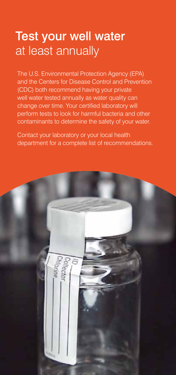### Test your well water at least annually

The U.S. Environmental Protection Agency (EPA) and the Centers for Disease Control and Prevention (CDC) both recommend having your private well water tested annually as water quality can change over time. Your certified laboratory will perform tests to look for harmful bacteria and other contaminants to determine the safety of your water.

Contact your laboratory or your local health department for a complete list of recommendations.

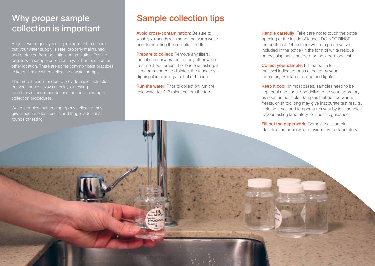# Why proper sample collection is important

Regular water-quality testing is important to ensure that your water supply is safe, properly maintained, and protected from potential contamination. Testing begins with sample collection in your home, office, or other location. There are some common best practices to keep in mind when collecting a water sample.

This brochure is intended to provide basic instruction, but you should always check your testing laboratory's recommendations for specific sample collection procedures.

Water samples that are improperly collected may give inaccurate test results and trigger additional rounds of testing.

## Sample collection tips

Avoid cross-contamination: Be sure to wash your hands with soap and warm water prior to handling the collection bottle.

**Prepare to collect:** Remove any filters, faucet screens/aerators, or any other water treatment equipment. For bacteria testing, it is recommended to disinfect the faucet by dipping it in rubbing alcohol or bleach.

**Run the water:** Prior to collection, run the cold water for 2–3 minutes from the tap.

Handle carefully: Take care not to touch the bottle opening or the inside of faucet. DO NOT RINSE the bottle out. Often there will be a preservative included in the bottle (in the form of white residue or crystals) that is needed for the laboratory test.

**Collect your sample:** Fill the bottle to the level indicated or as directed by your laboratory. Replace the cap and tighten.

Keep it cool: In most cases, samples need to be kept cool and should be delivered to your laboratory as soon as possible. Samples that get too warm, freeze, or sit too long may give inaccurate test results. Holding times and temperatures vary by test, so refer to your testing laboratory for specific guidance.

Fill out the paperwork: Complete all sample identification paperwork provided by the laboratory.